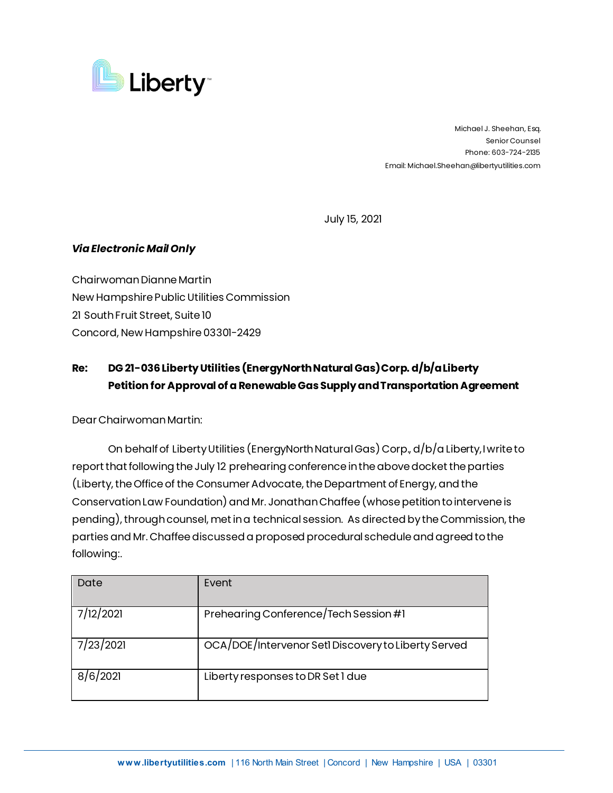

 Michael J. Sheehan, Esq. Senior Counsel Phone: 603-724-2135 Email: Michael.Sheehan@libertyutilities.com

July 15, 2021

## *Via Electronic Mail Only*

Chairwoman Dianne Martin New Hampshire Public Utilities Commission 21 South Fruit Street, Suite 10 Concord, New Hampshire 03301-2429

## **Re: DG 21-036Liberty Utilities (EnergyNorth Natural Gas) Corp. d/b/a Liberty Petition for Approval of a Renewable Gas Supply and Transportation Agreement**

Dear Chairwoman Martin:

On behalf of Liberty Utilities (EnergyNorth Natural Gas) Corp., d/b/a Liberty, I write to report that following the July 12 prehearing conference in the above docket the parties (Liberty, the Office of the Consumer Advocate, the Department of Energy, and the Conservation Law Foundation) and Mr. Jonathan Chaffee(whose petition to intervene is pending), through counsel, met in a technical session. As directed by the Commission, the parties and Mr. Chaffeediscussed a proposed procedural schedule and agreed to the following:.

| Date      | Event                                               |
|-----------|-----------------------------------------------------|
| 7/12/2021 | Prehearing Conference/Tech Session #1               |
| 7/23/2021 | OCA/DOE/Intervenor SetI Discovery to Liberty Served |
| 8/6/2021  | Liberty responses to DR Set 1 due                   |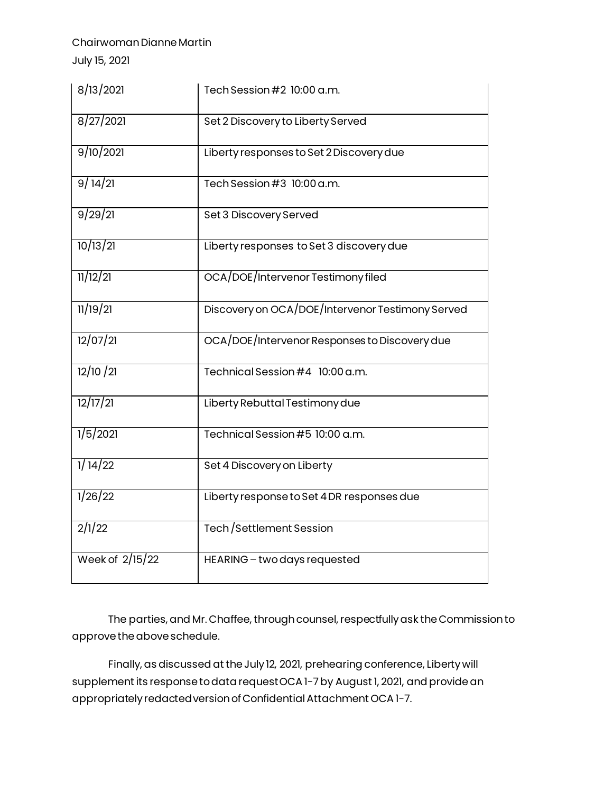## Chairwoman Dianne Martin

July 15, 2021

| 8/13/2021       | Tech Session #2 10:00 a.m.                       |
|-----------------|--------------------------------------------------|
| 8/27/2021       | Set 2 Discovery to Liberty Served                |
| 9/10/2021       | Liberty responses to Set 2 Discovery due         |
| 9/14/21         | Tech Session #3 10:00 a.m.                       |
| 9/29/21         | Set 3 Discovery Served                           |
| 10/13/21        | Liberty responses to Set 3 discovery due         |
| 11/12/21        | OCA/DOE/Intervenor Testimony filed               |
| 11/19/21        | Discovery on OCA/DOE/Intervenor Testimony Served |
| 12/07/21        | OCA/DOE/Intervenor Responses to Discovery due    |
| 12/10 / 21      | Technical Session #4 10:00 a.m.                  |
| 12/17/21        | Liberty Rebuttal Testimony due                   |
| 1/5/2021        | Technical Session #5 10:00 a.m.                  |
| 1/14/22         | Set 4 Discovery on Liberty                       |
| 1/26/22         | Liberty response to Set 4 DR responses due       |
| 2/1/22          | Tech/Settlement Session                          |
| Week of 2/15/22 | HEARING - two days requested                     |

The parties, and Mr. Chaffee, through counsel, respectfully ask the Commission to approve the above schedule.

Finally, as discussed at the July 12, 2021, prehearing conference, Liberty will supplement its response to data request OCA 1-7by August 1, 2021, and provide an appropriately redacted version of Confidential Attachment OCA 1-7.